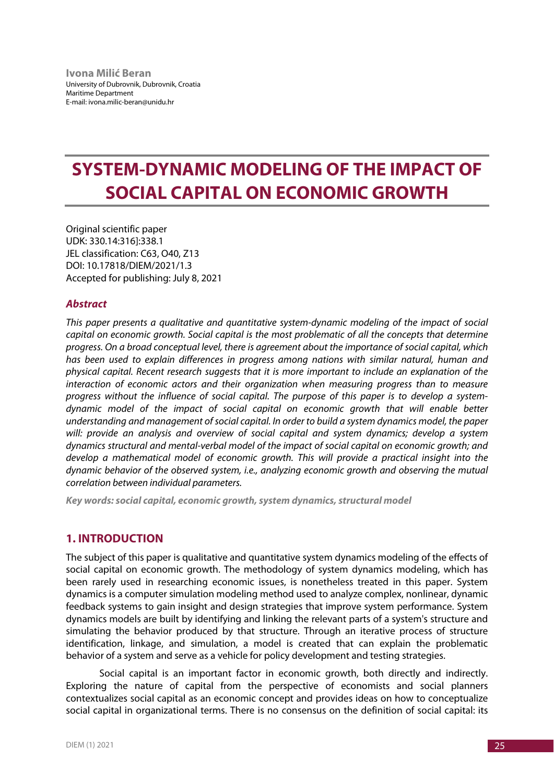# **SYSTEM-DYNAMIC MODELING OF THE IMPACT OF SOCIAL CAPITAL ON ECONOMIC GROWTH**

Original scientific paper UDK: 330.14:316]:338.1 JEL classification: C63, O40, Z13 DOI: 10.17818/DIEM/2021/1.3 Accepted for publishing: July 8, 2021

# *Abstract*

*This paper presents a qualitative and quantitative system-dynamic modeling of the impact of social capital on economic growth. Social capital is the most problematic of all the concepts that determine progress. On a broad conceptual level, there is agreement about the importance of social capital, which has been used to explain differences in progress among nations with similar natural, human and physical capital. Recent research suggests that it is more important to include an explanation of the interaction of economic actors and their organization when measuring progress than to measure progress without the influence of social capital. The purpose of this paper is to develop a systemdynamic model of the impact of social capital on economic growth that will enable better understanding and management of social capital. In order to build a system dynamics model, the paper will: provide an analysis and overview of social capital and system dynamics; develop a system dynamics structural and mental-verbal model of the impact of social capital on economic growth; and develop a mathematical model of economic growth. This will provide a practical insight into the dynamic behavior of the observed system, i.e., analyzing economic growth and observing the mutual correlation between individual parameters.*

*Key words: social capital, economic growth, system dynamics, structural model*

# **1. INTRODUCTION**

The subject of this paper is qualitative and quantitative system dynamics modeling of the effects of social capital on economic growth. The methodology of system dynamics modeling, which has been rarely used in researching economic issues, is nonetheless treated in this paper. System dynamics is a computer simulation modeling method used to analyze complex, nonlinear, dynamic feedback systems to gain insight and design strategies that improve system performance. System dynamics models are built by identifying and linking the relevant parts of a system's structure and simulating the behavior produced by that structure. Through an iterative process of structure identification, linkage, and simulation, a model is created that can explain the problematic behavior of a system and serve as a vehicle for policy development and testing strategies.

Social capital is an important factor in economic growth, both directly and indirectly. Exploring the nature of capital from the perspective of economists and social planners contextualizes social capital as an economic concept and provides ideas on how to conceptualize social capital in organizational terms. There is no consensus on the definition of social capital: its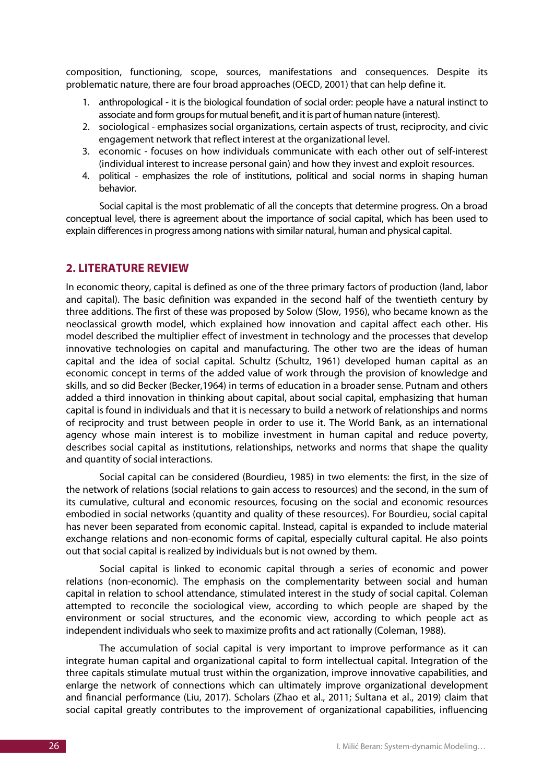composition, functioning, scope, sources, manifestations and consequences. Despite its problematic nature, there are four broad approaches (OECD, 2001) that can help define it.

- 1. anthropological it is the biological foundation of social order: people have a natural instinct to associate and form groups for mutual benefit, and it is part of human nature (interest).
- 2. sociological emphasizes social organizations, certain aspects of trust, reciprocity, and civic engagement network that reflect interest at the organizational level.
- 3. economic focuses on how individuals communicate with each other out of self-interest (individual interest to increase personal gain) and how they invest and exploit resources.
- 4. political emphasizes the role of institutions, political and social norms in shaping human behavior.

Social capital is the most problematic of all the concepts that determine progress. On a broad conceptual level, there is agreement about the importance of social capital, which has been used to explain differences in progress among nations with similar natural, human and physical capital.

## **2. LITERATURE REVIEW**

In economic theory, capital is defined as one of the three primary factors of production (land, labor and capital). The basic definition was expanded in the second half of the twentieth century by three additions. The first of these was proposed by Solow (Slow, 1956), who became known as the neoclassical growth model, which explained how innovation and capital affect each other. His model described the multiplier effect of investment in technology and the processes that develop innovative technologies on capital and manufacturing. The other two are the ideas of human capital and the idea of social capital. Schultz (Schultz, 1961) developed human capital as an economic concept in terms of the added value of work through the provision of knowledge and skills, and so did Becker (Becker,1964) in terms of education in a broader sense. Putnam and others added a third innovation in thinking about capital, about social capital, emphasizing that human capital is found in individuals and that it is necessary to build a network of relationships and norms of reciprocity and trust between people in order to use it. The World Bank, as an international agency whose main interest is to mobilize investment in human capital and reduce poverty, describes social capital as institutions, relationships, networks and norms that shape the quality and quantity of social interactions.

Social capital can be considered (Bourdieu, 1985) in two elements: the first, in the size of the network of relations (social relations to gain access to resources) and the second, in the sum of its cumulative, cultural and economic resources, focusing on the social and economic resources embodied in social networks (quantity and quality of these resources). For Bourdieu, social capital has never been separated from economic capital. Instead, capital is expanded to include material exchange relations and non-economic forms of capital, especially cultural capital. He also points out that social capital is realized by individuals but is not owned by them.

Social capital is linked to economic capital through a series of economic and power relations (non-economic). The emphasis on the complementarity between social and human capital in relation to school attendance, stimulated interest in the study of social capital. Coleman attempted to reconcile the sociological view, according to which people are shaped by the environment or social structures, and the economic view, according to which people act as independent individuals who seek to maximize profits and act rationally (Coleman, 1988).

The accumulation of social capital is very important to improve performance as it can integrate human capital and organizational capital to form intellectual capital. Integration of the three capitals stimulate mutual trust within the organization, improve innovative capabilities, and enlarge the network of connections which can ultimately improve organizational development and financial performance (Liu, 2017). Scholars (Zhao et al., 2011; Sultana et al., 2019) claim that social capital greatly contributes to the improvement of organizational capabilities, influencing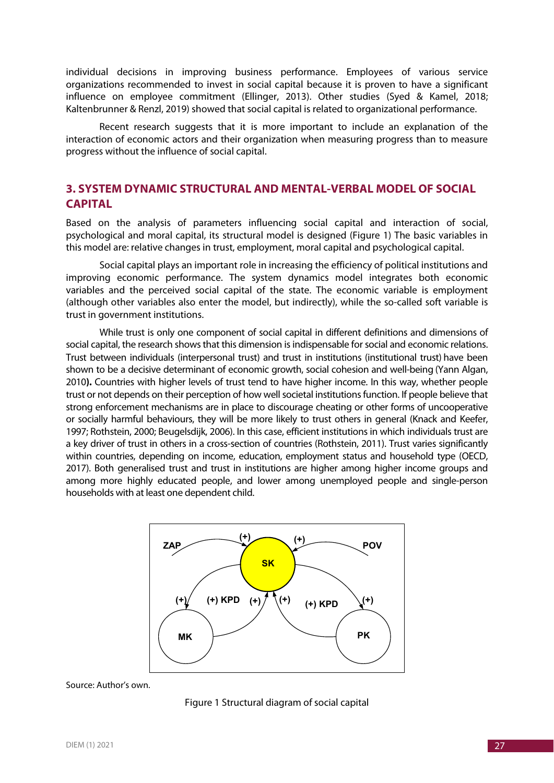individual decisions in improving business performance. Employees of various service organizations recommended to invest in social capital because it is proven to have a significant influence on employee commitment (Ellinger, 2013). Other studies (Syed & Kamel, 2018; Kaltenbrunner & Renzl, 2019) showed that social capital is related to organizational performance.

Recent research suggests that it is more important to include an explanation of the interaction of economic actors and their organization when measuring progress than to measure progress without the influence of social capital.

# **3. SYSTEM DYNAMIC STRUCTURAL AND MENTAL-VERBAL MODEL OF SOCIAL CAPITAL**

Based on the analysis of parameters influencing social capital and interaction of social, psychological and moral capital, its structural model is designed (Figure 1) The basic variables in this model are: relative changes in trust, employment, moral capital and psychological capital.

Social capital plays an important role in increasing the efficiency of political institutions and improving economic performance. The system dynamics model integrates both economic variables and the perceived social capital of the state. The economic variable is employment (although other variables also enter the model, but indirectly), while the so-called soft variable is trust in government institutions.

While trust is only one component of social capital in different definitions and dimensions of social capital, the research shows that this dimension is indispensable for social and economic relations. Trust between individuals (interpersonal trust) and trust in institutions (institutional trust) have been shown to be a decisive determinant of economic growth, social cohesion and well-being (Yann Algan, 2010**).** Countries with higher levels of trust tend to have higher income. In this way, whether people trust or not depends on their perception of how well societal institutions function. If people believe that strong enforcement mechanisms are in place to discourage cheating or other forms of uncooperative or socially harmful behaviours, they will be more likely to trust others in general (Knack and Keefer, 1997; Rothstein, 2000; Beugelsdijk, 2006). In this case, efficient institutions in which individuals trust are a key driver of trust in others in a cross-section of countries (Rothstein, 2011). Trust varies significantly within countries, depending on income, education, employment status and household type (OECD, 2017). Both generalised trust and trust in institutions are higher among higher income groups and among more highly educated people, and lower among unemployed people and single-person households with at least one dependent child.



#### Source: Author's own.

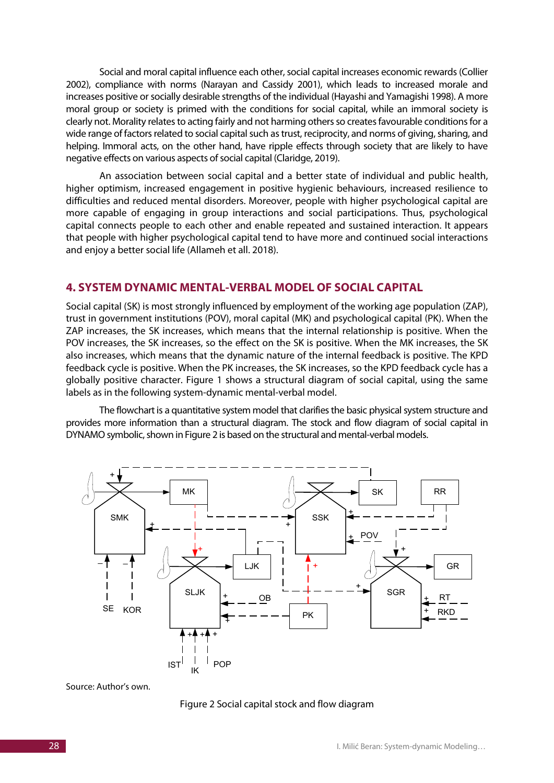Social and moral capital influence each other, social capital increases economic rewards (Collier 2002), compliance with norms (Narayan and Cassidy 2001), which leads to increased morale and increases positive or socially desirable strengths of the individual (Hayashi and Yamagishi 1998). A more moral group or society is primed with the conditions for social capital, while an immoral society is clearly not. Morality relates to acting fairly and not harming others so creates favourable conditions for a wide range of factors related to social capital such as trust, reciprocity, and norms of giving, sharing, and helping. Immoral acts, on the other hand, have ripple effects through society that are likely to have negative effects on various aspects of social capital (Claridge, 2019).

An association between social capital and a better state of individual and public health, higher optimism, increased engagement in positive hygienic behaviours, increased resilience to difficulties and reduced mental disorders. Moreover, people with higher psychological capital are more capable of engaging in group interactions and social participations. Thus, psychological capital connects people to each other and enable repeated and sustained interaction. It appears that people with higher psychological capital tend to have more and continued social interactions and enjoy a better social life (Allameh et all. 2018).

## **4. SYSTEM DYNAMIC MENTAL-VERBAL MODEL OF SOCIAL CAPITAL**

Social capital (SK) is most strongly influenced by employment of the working age population (ZAP), trust in government institutions (POV), moral capital (MK) and psychological capital (PK). When the ZAP increases, the SK increases, which means that the internal relationship is positive. When the POV increases, the SK increases, so the effect on the SK is positive. When the MK increases, the SK also increases, which means that the dynamic nature of the internal feedback is positive. The KPD feedback cycle is positive. When the PK increases, the SK increases, so the KPD feedback cycle has a globally positive character. Figure 1 shows a structural diagram of social capital, using the same labels as in the following system-dynamic mental-verbal model.

The flowchart is a quantitative system model that clarifies the basic physical system structure and provides more information than a structural diagram. The stock and flow diagram of social capital in DYNAMO symbolic, shown in Figure 2 is based on the structural and mental-verbal models.



Source: Author's own.

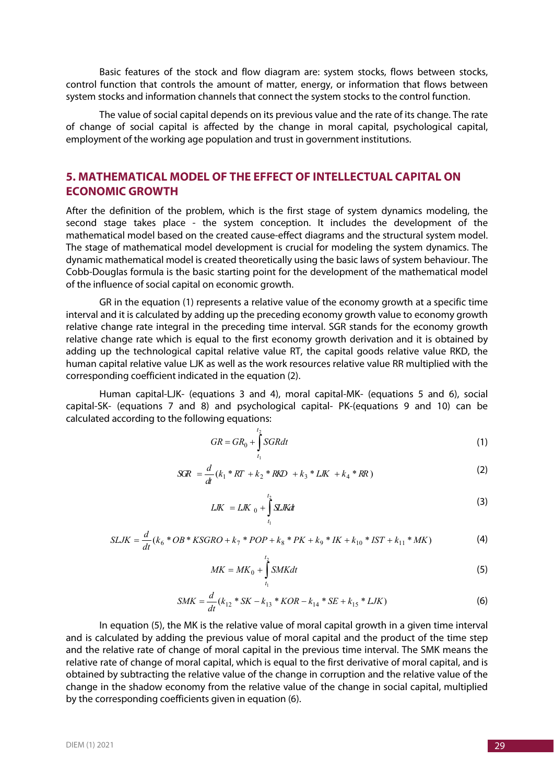Basic features of the stock and flow diagram are: system stocks, flows between stocks, control function that controls the amount of matter, energy, or information that flows between system stocks and information channels that connect the system stocks to the control function.

The value of social capital depends on its previous value and the rate of its change. The rate of change of social capital is affected by the change in moral capital, psychological capital, employment of the working age population and trust in government institutions.

# **5. MATHEMATICAL MODEL OF THE EFFECT OF INTELLECTUAL CAPITAL ON ECONOMIC GROWTH**

After the definition of the problem, which is the first stage of system dynamics modeling, the second stage takes place - the system conception. It includes the development of the mathematical model based on the created cause-effect diagrams and the structural system model. The stage of mathematical model development is crucial for modeling the system dynamics. The dynamic mathematical model is created theoretically using the basic laws of system behaviour. The Cobb-Douglas formula is the basic starting point for the development of the mathematical model of the influence of social capital on economic growth.

GR in the equation (1) represents a relative value of the economy growth at a specific time interval and it is calculated by adding up the preceding economy growth value to economy growth relative change rate integral in the preceding time interval. SGR stands for the economy growth relative change rate which is equal to the first economy growth derivation and it is obtained by adding up the technological capital relative value RT, the capital goods relative value RKD, the human capital relative value LJK as well as the work resources relative value RR multiplied with the corresponding coefficient indicated in the equation (2).

Human capital-LJK- (equations 3 and 4), moral capital-MK- (equations 5 and 6), social capital-SK- (equations 7 and 8) and psychological capital- PK-(equations 9 and 10) can be calculated according to the following equations:

$$
GR = GR_0 + \int_{t_1}^{t_2} SGRdt
$$
 (1)

$$
SCR = \frac{d}{dt}(k_1 * RT + k_2 * RKD + k_3 * LK + k_4 * RR)
$$
\n(2)

$$
LJK = LJK_0 + \int_{t_1}^{t_2} SLKdt
$$
 (3)

$$
SLJK = \frac{d}{dt}(k_6 * OB * KSGRO + k_7 * POP + k_8 * PK + k_9 * IK + k_{10} * IST + k_{11} * MK)
$$
\n(4)

$$
MK = MK_0 + \int_{t_1}^{t_2} SMKdt
$$
\n
$$
(5)
$$

$$
SMK = \frac{d}{dt}(k_{12} * SK - k_{13} * KOR - k_{14} * SE + k_{15} * LJK)
$$
\n(6)

In equation (5), the MK is the relative value of moral capital growth in a given time interval and is calculated by adding the previous value of moral capital and the product of the time step and the relative rate of change of moral capital in the previous time interval. The SMK means the relative rate of change of moral capital, which is equal to the first derivative of moral capital, and is obtained by subtracting the relative value of the change in corruption and the relative value of the change in the shadow economy from the relative value of the change in social capital, multiplied by the corresponding coefficients given in equation (6).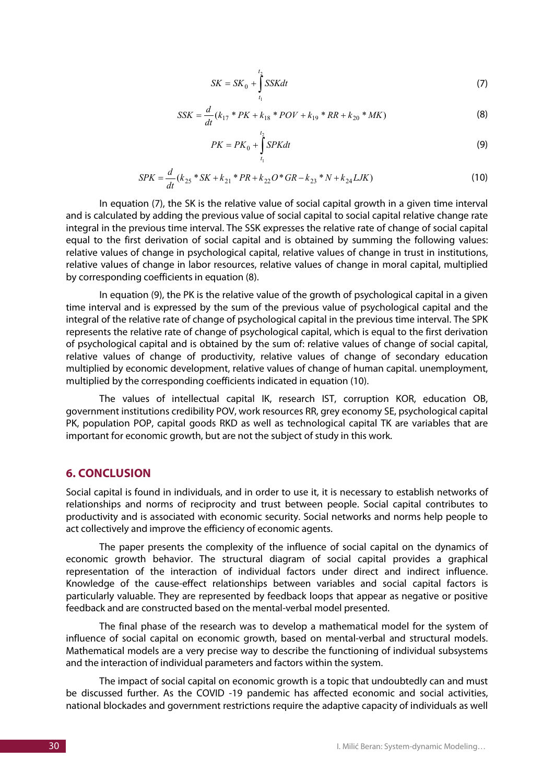$$
SK = SK_0 + \int_{t_1}^{t_2} SSKdt
$$
 (7)

$$
SSK = \frac{d}{dt}(k_{17} * PK + k_{18} * POV + k_{19} * RR + k_{20} * MK)
$$
\n(8)

$$
PK = PK_0 + \int_{t_1}^{t_2} SPKdt
$$
\n(9)

$$
SPK = \frac{d}{dt}(k_{25} * SK + k_{21} * PR + k_{22}O * GR - k_{23} * N + k_{24} LJK)
$$
\n(10)

In equation (7), the SK is the relative value of social capital growth in a given time interval and is calculated by adding the previous value of social capital to social capital relative change rate integral in the previous time interval. The SSK expresses the relative rate of change of social capital equal to the first derivation of social capital and is obtained by summing the following values: relative values of change in psychological capital, relative values of change in trust in institutions, relative values of change in labor resources, relative values of change in moral capital, multiplied by corresponding coefficients in equation (8).

In equation (9), the PK is the relative value of the growth of psychological capital in a given time interval and is expressed by the sum of the previous value of psychological capital and the integral of the relative rate of change of psychological capital in the previous time interval. The SPK represents the relative rate of change of psychological capital, which is equal to the first derivation of psychological capital and is obtained by the sum of: relative values of change of social capital, relative values of change of productivity, relative values of change of secondary education multiplied by economic development, relative values of change of human capital. unemployment, multiplied by the corresponding coefficients indicated in equation (10).

The values of intellectual capital IK, research IST, corruption KOR, education OB, government institutions credibility POV, work resources RR, grey economy SE, psychological capital PK, population POP, capital goods RKD as well as technological capital TK are variables that are important for economic growth, but are not the subject of study in this work.

## **6. CONCLUSION**

Social capital is found in individuals, and in order to use it, it is necessary to establish networks of relationships and norms of reciprocity and trust between people. Social capital contributes to productivity and is associated with economic security. Social networks and norms help people to act collectively and improve the efficiency of economic agents.

The paper presents the complexity of the influence of social capital on the dynamics of economic growth behavior. The structural diagram of social capital provides a graphical representation of the interaction of individual factors under direct and indirect influence. Knowledge of the cause-effect relationships between variables and social capital factors is particularly valuable. They are represented by feedback loops that appear as negative or positive feedback and are constructed based on the mental-verbal model presented.

The final phase of the research was to develop a mathematical model for the system of influence of social capital on economic growth, based on mental-verbal and structural models. Mathematical models are a very precise way to describe the functioning of individual subsystems and the interaction of individual parameters and factors within the system.

The impact of social capital on economic growth is a topic that undoubtedly can and must be discussed further. As the COVID -19 pandemic has affected economic and social activities, national blockades and government restrictions require the adaptive capacity of individuals as well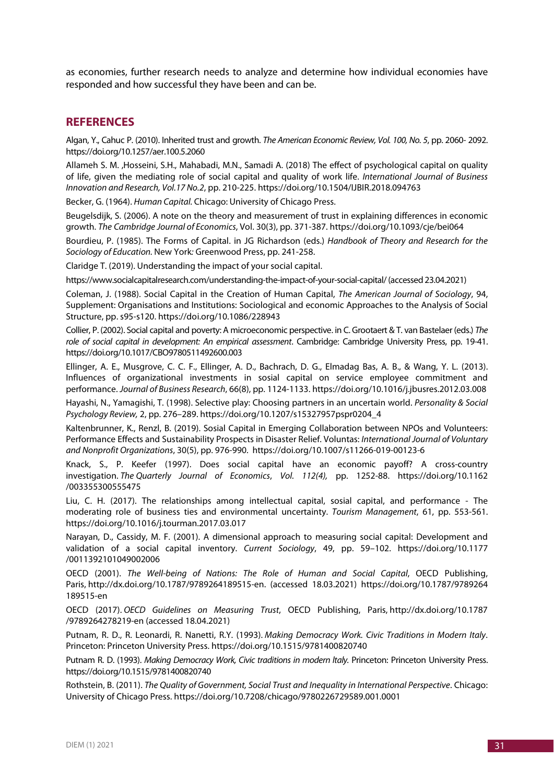as economies, further research needs to analyze and determine how individual economies have responded and how successful they have been and can be.

# **REFERENCES**

Algan, Y., Cahuc P. (2010). Inherited trust and growth. *The American Economic Review, Vol. 100, No. 5*, pp. 2060- 2092. https://doi.org/10.1257/aer.100.5.2060

Allameh S. M. ,Hosseini, S.H., Mahabadi, M.N., Samadi A. (2018) The effect of psychological capital on quality of life, given the mediating role of social capital and quality of work life. *International Journal of Business Innovation and Research, Vol.17 No.2*, pp. 210-225. https://doi.org/10.1504/IJBIR.2018.094763

Becker, G. (1964). *Human Capital.* Chicago: University of Chicago Press.

Beugelsdijk, S. (2006). A note on the theory and measurement of trust in explaining differences in economic growth. *The Cambridge Journal of Economics*, Vol. 30(3), pp. 371-387. https://doi.org/10.1093/cje/bei064

Bourdieu, P. (1985). The Forms of Capital. in JG Richardson (eds.) *Handbook of Theory and Research for the Sociology of Education.* New York*:* Greenwood Press, pp. 241-258.

Claridge T. (2019). Understanding the impact of your social capital.

https://www.socialcapitalresearch.com/understanding-the-impact-of-your-social-capital/(accessed 23.04.2021)

Coleman, J. (1988). Social Capital in the Creation of Human Capital, *The American Journal of Sociology*, 94, Supplement: Organisations and Institutions: Sociological and economic Approaches to the Analysis of Social Structure, pp. s95-s120. https://doi.org/10.1086/228943

Collier, P. (2002). Social capital and poverty: A microeconomic perspective. in C. Grootaert & T. van Bastelaer (eds.) *The role of social capital in development: An empirical assessment*. Cambridge: Cambridge University Press, pp. 19-41. https://doi.org/10.1017/CBO9780511492600.003

Ellinger, A. E., Musgrove, C. C. F., Ellinger, A. D., Bachrach, D. G., Elmadag Bas, A. B., & Wang, Y. L. (2013). Influences of organizational investments in sosial capital on service employee commitment and performance. *Journal of Business Research*, 66(8), pp. 1124-1133. https://doi.org/10.1016/j.jbusres.2012.03.008

Hayashi, N., Yamagishi, T. (1998). Selective play: Choosing partners in an uncertain world. *Personality & Social Psychology Review,* 2, pp. 276–289. https://doi.org/10.1207/s15327957pspr0204\_4

Kaltenbrunner, K., Renzl, B. (2019). Sosial Capital in Emerging Collaboration between NPOs and Volunteers: Performance Effects and Sustainability Prospects in Disaster Relief. Voluntas: *International Journal of Voluntary and Nonprofit Organizations*, 30(5), pp. 976-990. https://doi.org/10.1007/s11266-019-00123-6

Knack, S., P. Keefer (1997). Does social capital have an economic payoff? A cross-country investigation. *The Quarterly Journal of Economics*, *Vol. 112(4),* pp. 1252-88. https://doi.org/10.1162 /003355300555475

Liu, C. H. (2017). The relationships among intellectual capital, sosial capital, and performance - The moderating role of business ties and environmental uncertainty. *Tourism Management*, 61, pp. 553-561. https://doi.org/10.1016/j.tourman.2017.03.017

Narayan, D., Cassidy, M. F. (2001). A dimensional approach to measuring social capital: Development and validation of a social capital inventory. *Current Sociology*, 49, pp. 59–102. https://doi.org/10.1177 /0011392101049002006

OECD (2001). *The Well-being of Nations: The Role of Human and Social Capital*, OECD Publishing, Paris, http://dx.doi.org/10.1787/9789264189515-en. (accessed 18.03.2021) https://doi.org/10.1787/9789264 189515-en

OECD (2017). *OECD Guidelines on Measuring Trust*, OECD Publishing, Paris, http://dx.doi.org/10.1787 /9789264278219-en (accessed 18.04.2021)

Putnam, R. D., R. Leonardi, R. Nanetti, R.Y. (1993). *Making Democracy Work. Civic Traditions in Modern Italy*. Princeton: Princeton University Press. https://doi.org/10.1515/9781400820740

Putnam R. D. (1993). *Making Democracy Work, Civic traditions in modern ltaly.* Princeton: Princeton University Press. https://doi.org/10.1515/9781400820740

Rothstein, B. (2011). *The Quality of Government, Social Trust and Inequality in International Perspective*. Chicago: University of Chicago Press. https://doi.org/10.7208/chicago/9780226729589.001.0001